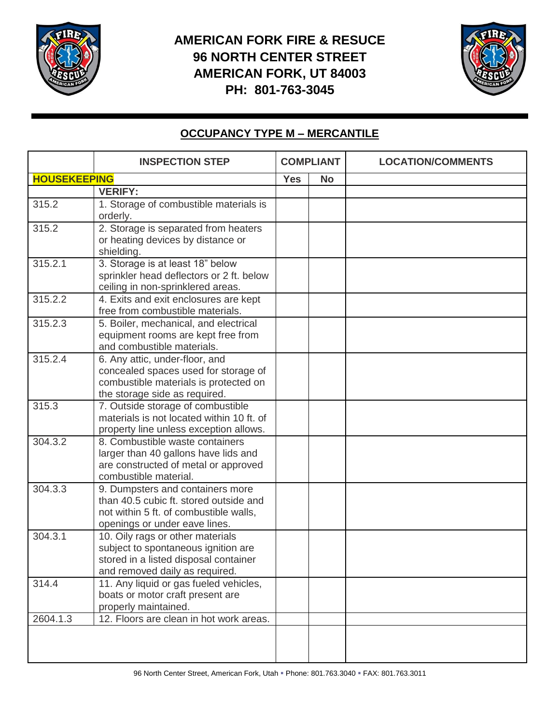

## **AMERICAN FORK FIRE & RESUCE 96 NORTH CENTER STREET AMERICAN FORK, UT 84003 PH: 801-763-3045**



## **OCCUPANCY TYPE M – MERCANTILE**

|                     | <b>INSPECTION STEP</b>                                                                                                                                | <b>COMPLIANT</b> |           | <b>LOCATION/COMMENTS</b> |
|---------------------|-------------------------------------------------------------------------------------------------------------------------------------------------------|------------------|-----------|--------------------------|
| <b>HOUSEKEEPING</b> |                                                                                                                                                       | <b>Yes</b>       | <b>No</b> |                          |
|                     | <b>VERIFY:</b>                                                                                                                                        |                  |           |                          |
| 315.2               | 1. Storage of combustible materials is<br>orderly.                                                                                                    |                  |           |                          |
| 315.2               | 2. Storage is separated from heaters<br>or heating devices by distance or<br>shielding.                                                               |                  |           |                          |
| 315.2.1             | 3. Storage is at least 18" below<br>sprinkler head deflectors or 2 ft. below<br>ceiling in non-sprinklered areas.                                     |                  |           |                          |
| 315.2.2             | 4. Exits and exit enclosures are kept<br>free from combustible materials.                                                                             |                  |           |                          |
| 315.2.3             | 5. Boiler, mechanical, and electrical<br>equipment rooms are kept free from<br>and combustible materials.                                             |                  |           |                          |
| 315.2.4             | 6. Any attic, under-floor, and<br>concealed spaces used for storage of<br>combustible materials is protected on<br>the storage side as required.      |                  |           |                          |
| 315.3               | 7. Outside storage of combustible<br>materials is not located within 10 ft. of<br>property line unless exception allows.                              |                  |           |                          |
| 304.3.2             | 8. Combustible waste containers<br>larger than 40 gallons have lids and<br>are constructed of metal or approved<br>combustible material.              |                  |           |                          |
| 304.3.3             | 9. Dumpsters and containers more<br>than 40.5 cubic ft. stored outside and<br>not within 5 ft. of combustible walls,<br>openings or under eave lines. |                  |           |                          |
| 304.3.1             | 10. Oily rags or other materials<br>subject to spontaneous ignition are<br>stored in a listed disposal container<br>and removed daily as required.    |                  |           |                          |
| 314.4               | 11. Any liquid or gas fueled vehicles,<br>boats or motor craft present are<br>properly maintained.                                                    |                  |           |                          |
| 2604.1.3            | 12. Floors are clean in hot work areas.                                                                                                               |                  |           |                          |
|                     |                                                                                                                                                       |                  |           |                          |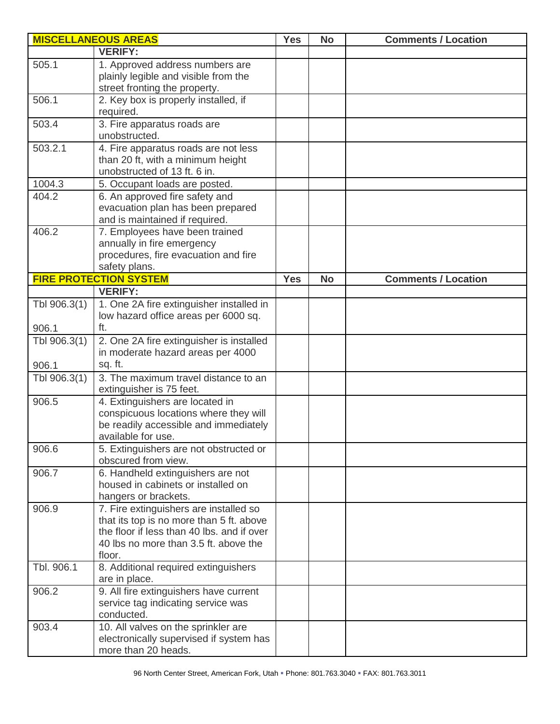|              | <b>MISCELLANEOUS AREAS</b>                                                                                                                                                          | <b>Yes</b> | <b>No</b> | <b>Comments / Location</b> |
|--------------|-------------------------------------------------------------------------------------------------------------------------------------------------------------------------------------|------------|-----------|----------------------------|
|              | <b>VERIFY:</b>                                                                                                                                                                      |            |           |                            |
| 505.1        | 1. Approved address numbers are<br>plainly legible and visible from the<br>street fronting the property.                                                                            |            |           |                            |
| 506.1        | 2. Key box is properly installed, if<br>required.                                                                                                                                   |            |           |                            |
| 503.4        | 3. Fire apparatus roads are<br>unobstructed.                                                                                                                                        |            |           |                            |
| 503.2.1      | 4. Fire apparatus roads are not less<br>than 20 ft, with a minimum height<br>unobstructed of 13 ft. 6 in.                                                                           |            |           |                            |
| 1004.3       | 5. Occupant loads are posted.                                                                                                                                                       |            |           |                            |
| 404.2        | 6. An approved fire safety and<br>evacuation plan has been prepared<br>and is maintained if required.                                                                               |            |           |                            |
| 406.2        | 7. Employees have been trained<br>annually in fire emergency<br>procedures, fire evacuation and fire<br>safety plans.                                                               |            |           |                            |
|              | <b>FIRE PROTECTION SYSTEM</b>                                                                                                                                                       | <b>Yes</b> | <b>No</b> | <b>Comments / Location</b> |
|              | <b>VERIFY:</b>                                                                                                                                                                      |            |           |                            |
| Tbl 906.3(1) | 1. One 2A fire extinguisher installed in<br>low hazard office areas per 6000 sq.                                                                                                    |            |           |                            |
| 906.1        | ft.                                                                                                                                                                                 |            |           |                            |
| Tbl 906.3(1) | 2. One 2A fire extinguisher is installed<br>in moderate hazard areas per 4000                                                                                                       |            |           |                            |
| 906.1        | sq. ft.                                                                                                                                                                             |            |           |                            |
| Tbl 906.3(1) | 3. The maximum travel distance to an<br>extinguisher is 75 feet.                                                                                                                    |            |           |                            |
| 906.5        | 4. Extinguishers are located in<br>conspicuous locations where they will<br>be readily accessible and immediately<br>available for use.                                             |            |           |                            |
| 906.6        | 5. Extinguishers are not obstructed or<br>obscured from view.                                                                                                                       |            |           |                            |
| 906.7        | 6. Handheld extinguishers are not<br>housed in cabinets or installed on<br>hangers or brackets.                                                                                     |            |           |                            |
| 906.9        | 7. Fire extinguishers are installed so<br>that its top is no more than 5 ft. above<br>the floor if less than 40 lbs. and if over<br>40 lbs no more than 3.5 ft. above the<br>floor. |            |           |                            |
| Tbl. 906.1   | 8. Additional required extinguishers<br>are in place.                                                                                                                               |            |           |                            |
| 906.2        | 9. All fire extinguishers have current<br>service tag indicating service was<br>conducted.                                                                                          |            |           |                            |
| 903.4        | 10. All valves on the sprinkler are<br>electronically supervised if system has<br>more than 20 heads.                                                                               |            |           |                            |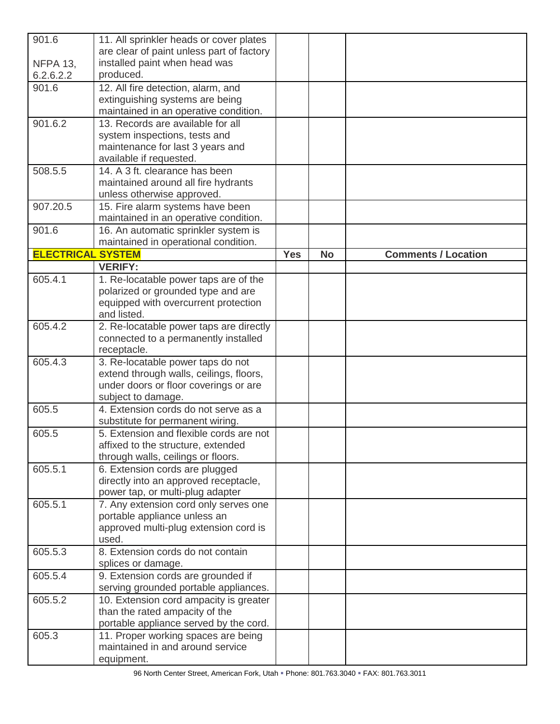| 901.6<br><b>NFPA 13,</b> | 11. All sprinkler heads or cover plates<br>are clear of paint unless part of factory<br>installed paint when head was                       |            |           |                            |
|--------------------------|---------------------------------------------------------------------------------------------------------------------------------------------|------------|-----------|----------------------------|
| 6.2.6.2.2                | produced.                                                                                                                                   |            |           |                            |
| 901.6                    | 12. All fire detection, alarm, and<br>extinguishing systems are being<br>maintained in an operative condition.                              |            |           |                            |
| 901.6.2                  | 13. Records are available for all<br>system inspections, tests and<br>maintenance for last 3 years and<br>available if requested.           |            |           |                            |
| 508.5.5                  | 14. A 3 ft. clearance has been<br>maintained around all fire hydrants<br>unless otherwise approved.                                         |            |           |                            |
| 907.20.5                 | 15. Fire alarm systems have been<br>maintained in an operative condition.                                                                   |            |           |                            |
| 901.6                    | 16. An automatic sprinkler system is<br>maintained in operational condition.                                                                |            |           |                            |
| <b>ELECTRICAL SYSTEM</b> |                                                                                                                                             | <b>Yes</b> | <b>No</b> | <b>Comments / Location</b> |
|                          | <b>VERIFY:</b>                                                                                                                              |            |           |                            |
| 605.4.1                  | 1. Re-locatable power taps are of the<br>polarized or grounded type and are<br>equipped with overcurrent protection<br>and listed.          |            |           |                            |
| 605.4.2                  | 2. Re-locatable power taps are directly<br>connected to a permanently installed<br>receptacle.                                              |            |           |                            |
| 605.4.3                  | 3. Re-locatable power taps do not<br>extend through walls, ceilings, floors,<br>under doors or floor coverings or are<br>subject to damage. |            |           |                            |
| 605.5                    | 4. Extension cords do not serve as a<br>substitute for permanent wiring.                                                                    |            |           |                            |
| 605.5                    | 5. Extension and flexible cords are not<br>affixed to the structure, extended<br>through walls, ceilings or floors.                         |            |           |                            |
| 605.5.1                  | 6. Extension cords are plugged<br>directly into an approved receptacle,<br>power tap, or multi-plug adapter                                 |            |           |                            |
| 605.5.1                  | 7. Any extension cord only serves one<br>portable appliance unless an<br>approved multi-plug extension cord is<br>used.                     |            |           |                            |
| 605.5.3                  | 8. Extension cords do not contain<br>splices or damage.                                                                                     |            |           |                            |
| 605.5.4                  | 9. Extension cords are grounded if<br>serving grounded portable appliances.                                                                 |            |           |                            |
| 605.5.2                  | 10. Extension cord ampacity is greater<br>than the rated ampacity of the<br>portable appliance served by the cord.                          |            |           |                            |
| 605.3                    | 11. Proper working spaces are being<br>maintained in and around service<br>equipment.                                                       |            |           |                            |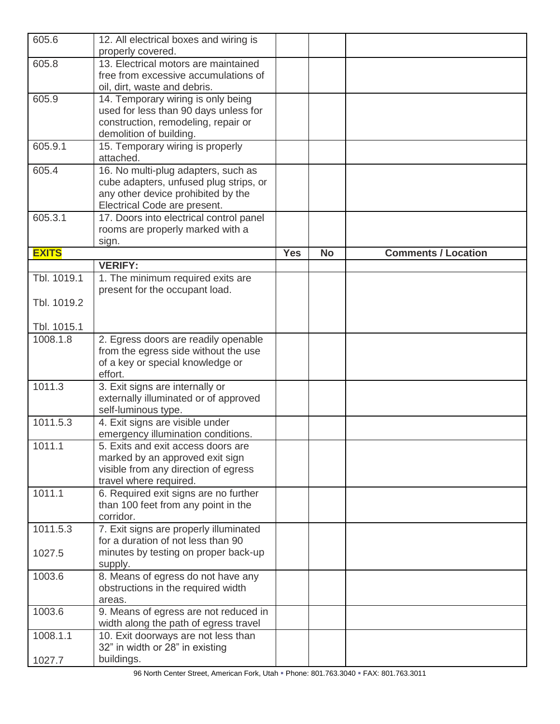| 605.6        | 12. All electrical boxes and wiring is<br>properly covered.                                                                                         |            |           |                            |
|--------------|-----------------------------------------------------------------------------------------------------------------------------------------------------|------------|-----------|----------------------------|
| 605.8        | 13. Electrical motors are maintained<br>free from excessive accumulations of<br>oil, dirt, waste and debris.                                        |            |           |                            |
| 605.9        | 14. Temporary wiring is only being<br>used for less than 90 days unless for<br>construction, remodeling, repair or<br>demolition of building.       |            |           |                            |
| 605.9.1      | 15. Temporary wiring is properly<br>attached.                                                                                                       |            |           |                            |
| 605.4        | 16. No multi-plug adapters, such as<br>cube adapters, unfused plug strips, or<br>any other device prohibited by the<br>Electrical Code are present. |            |           |                            |
| 605.3.1      | 17. Doors into electrical control panel<br>rooms are properly marked with a<br>sign.                                                                |            |           |                            |
| <b>EXITS</b> |                                                                                                                                                     | <b>Yes</b> | <b>No</b> | <b>Comments / Location</b> |
|              | <b>VERIFY:</b>                                                                                                                                      |            |           |                            |
| Tbl. 1019.1  | 1. The minimum required exits are<br>present for the occupant load.                                                                                 |            |           |                            |
| Tbl. 1019.2  |                                                                                                                                                     |            |           |                            |
| Tbl. 1015.1  |                                                                                                                                                     |            |           |                            |
| 1008.1.8     | 2. Egress doors are readily openable<br>from the egress side without the use<br>of a key or special knowledge or<br>effort.                         |            |           |                            |
| 1011.3       | 3. Exit signs are internally or<br>externally illuminated or of approved<br>self-luminous type.                                                     |            |           |                            |
| 1011.5.3     | 4. Exit signs are visible under<br>emergency illumination conditions.                                                                               |            |           |                            |
| 1011.1       | 5. Exits and exit access doors are<br>marked by an approved exit sign<br>visible from any direction of egress<br>travel where required.             |            |           |                            |
| 1011.1       | 6. Required exit signs are no further<br>than 100 feet from any point in the<br>corridor.                                                           |            |           |                            |
| 1011.5.3     | 7. Exit signs are properly illuminated<br>for a duration of not less than 90                                                                        |            |           |                            |
| 1027.5       | minutes by testing on proper back-up<br>supply.                                                                                                     |            |           |                            |
| 1003.6       | 8. Means of egress do not have any<br>obstructions in the required width<br>areas.                                                                  |            |           |                            |
| 1003.6       | 9. Means of egress are not reduced in<br>width along the path of egress travel                                                                      |            |           |                            |
| 1008.1.1     | 10. Exit doorways are not less than<br>32" in width or 28" in existing                                                                              |            |           |                            |
| 1027.7       | buildings.                                                                                                                                          |            |           |                            |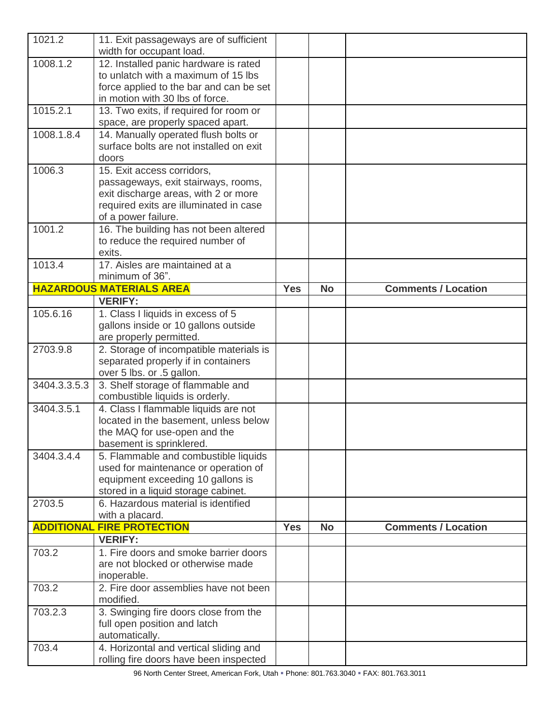| 1021.2       | 11. Exit passageways are of sufficient<br>width for occupant load.                                                                                                         |            |           |                            |
|--------------|----------------------------------------------------------------------------------------------------------------------------------------------------------------------------|------------|-----------|----------------------------|
| 1008.1.2     | 12. Installed panic hardware is rated<br>to unlatch with a maximum of 15 lbs<br>force applied to the bar and can be set<br>in motion with 30 lbs of force.                 |            |           |                            |
| 1015.2.1     | 13. Two exits, if required for room or<br>space, are properly spaced apart.                                                                                                |            |           |                            |
| 1008.1.8.4   | 14. Manually operated flush bolts or<br>surface bolts are not installed on exit<br>doors                                                                                   |            |           |                            |
| 1006.3       | 15. Exit access corridors,<br>passageways, exit stairways, rooms,<br>exit discharge areas, with 2 or more<br>required exits are illuminated in case<br>of a power failure. |            |           |                            |
| 1001.2       | 16. The building has not been altered<br>to reduce the required number of<br>exits.                                                                                        |            |           |                            |
| 1013.4       | 17. Aisles are maintained at a<br>minimum of 36".                                                                                                                          |            |           |                            |
|              | <b>HAZARDOUS MATERIALS AREA</b>                                                                                                                                            | <b>Yes</b> | <b>No</b> | <b>Comments / Location</b> |
| 105.6.16     | <b>VERIFY:</b>                                                                                                                                                             |            |           |                            |
|              | 1. Class I liquids in excess of 5<br>gallons inside or 10 gallons outside<br>are properly permitted.                                                                       |            |           |                            |
| 2703.9.8     | 2. Storage of incompatible materials is<br>separated properly if in containers<br>over 5 lbs. or .5 gallon.                                                                |            |           |                            |
| 3404.3.3.5.3 | 3. Shelf storage of flammable and<br>combustible liquids is orderly.                                                                                                       |            |           |                            |
| 3404.3.5.1   | 4. Class I flammable liquids are not<br>located in the basement, unless below<br>the MAQ for use-open and the<br>basement is sprinklered.                                  |            |           |                            |
| 3404.3.4.4   | 5. Flammable and combustible liquids<br>used for maintenance or operation of<br>equipment exceeding 10 gallons is<br>stored in a liquid storage cabinet.                   |            |           |                            |
| 2703.5       | 6. Hazardous material is identified<br>with a placard.                                                                                                                     |            |           |                            |
|              | <b>ADDITIONAL FIRE PROTECTION</b>                                                                                                                                          | <b>Yes</b> | <b>No</b> | <b>Comments / Location</b> |
|              | <b>VERIFY:</b>                                                                                                                                                             |            |           |                            |
| 703.2        | 1. Fire doors and smoke barrier doors<br>are not blocked or otherwise made<br>inoperable.                                                                                  |            |           |                            |
| 703.2        | 2. Fire door assemblies have not been<br>modified.                                                                                                                         |            |           |                            |
| 703.2.3      | 3. Swinging fire doors close from the<br>full open position and latch<br>automatically.                                                                                    |            |           |                            |
| 703.4        | 4. Horizontal and vertical sliding and<br>rolling fire doors have been inspected                                                                                           |            |           |                            |